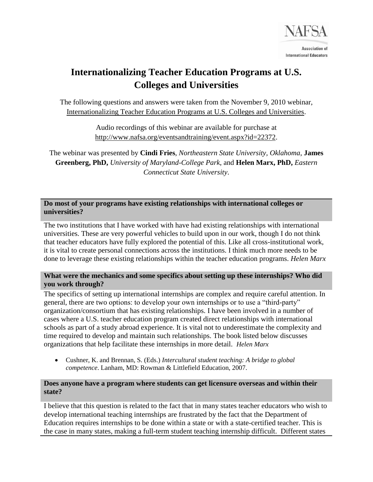

# **Internationalizing Teacher Education Programs at U.S. Colleges and Universities**

The following questions and answers were taken from the November 9, 2010 webinar, [Internationalizing Teacher Education Programs at U.S. Colleges and Universities.](http://www.nafsa.org/eventsandtraining/event.aspx?id=22372)

> Audio recordings of this webinar are available for purchase at [http://www.nafsa.org/eventsandtraining/event.aspx?id=22372.](http://www.nafsa.org/eventsandtraining/event.aspx?id=22372)

The webinar was presented by **Cindi Fries**, *Northeastern State University, Oklahoma*, **James Greenberg, PhD,** *University of Maryland-College Park*, and **Helen Marx, PhD,** *Eastern Connecticut State University*.

**Do most of your programs have existing relationships with international colleges or universities?**

The two institutions that I have worked with have had existing relationships with international universities. These are very powerful vehicles to build upon in our work, though I do not think that teacher educators have fully explored the potential of this. Like all cross-institutional work, it is vital to create personal connections across the institutions. I think much more needs to be done to leverage these existing relationships within the teacher education programs. *Helen Marx*

## **What were the mechanics and some specifics about setting up these internships? Who did you work through?**

The specifics of setting up international internships are complex and require careful attention. In general, there are two options: to develop your own internships or to use a "third-party" organization/consortium that has existing relationships. I have been involved in a number of cases where a U.S. teacher education program created direct relationships with international schools as part of a study abroad experience. It is vital not to underestimate the complexity and time required to develop and maintain such relationships. The book listed below discusses organizations that help facilitate these internships in more detail. *Helen Marx*

 Cushner, K. and Brennan, S. (Eds.) *Intercultural student teaching: A bridge to global competence*. Lanham, MD: Rowman & Littlefield Education, 2007.

#### **Does anyone have a program where students can get licensure overseas and within their state?**

I believe that this question is related to the fact that in many states teacher educators who wish to develop international teaching internships are frustrated by the fact that the Department of Education requires internships to be done within a state or with a state-certified teacher. This is the case in many states, making a full-term student teaching internship difficult. Different states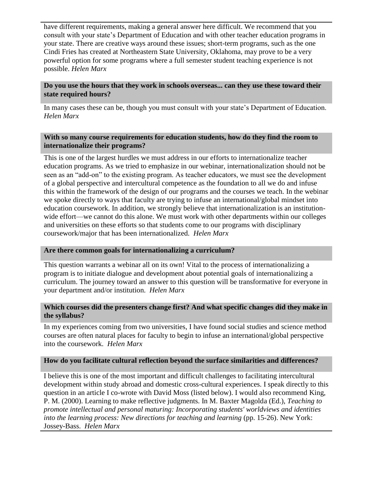have different requirements, making a general answer here difficult. We recommend that you consult with your state's Department of Education and with other teacher education programs in your state. There are creative ways around these issues; short-term programs, such as the one Cindi Fries has created at Northeastern State University, Oklahoma, may prove to be a very powerful option for some programs where a full semester student teaching experience is not possible. *Helen Marx*

## **Do you use the hours that they work in schools overseas... can they use these toward their state required hours?**

In many cases these can be, though you must consult with your state's Department of Education. *Helen Marx*

## **With so many course requirements for education students, how do they find the room to internationalize their programs?**

This is one of the largest hurdles we must address in our efforts to internationalize teacher education programs. As we tried to emphasize in our webinar, internationalization should not be seen as an "add-on" to the existing program. As teacher educators, we must see the development of a global perspective and intercultural competence as the foundation to all we do and infuse this within the framework of the design of our programs and the courses we teach. In the webinar we spoke directly to ways that faculty are trying to infuse an international/global mindset into education coursework. In addition, we strongly believe that internationalization is an institutionwide effort—we cannot do this alone. We must work with other departments within our colleges and universities on these efforts so that students come to our programs with disciplinary coursework/major that has been internationalized. *Helen Marx*

#### **Are there common goals for internationalizing a curriculum?**

This question warrants a webinar all on its own! Vital to the process of internationalizing a program is to initiate dialogue and development about potential goals of internationalizing a curriculum. The journey toward an answer to this question will be transformative for everyone in your department and/or institution. *Helen Marx*

#### **Which courses did the presenters change first? And what specific changes did they make in the syllabus?**

In my experiences coming from two universities, I have found social studies and science method courses are often natural places for faculty to begin to infuse an international/global perspective into the coursework. *Helen Marx*

## **How do you facilitate cultural reflection beyond the surface similarities and differences?**

I believe this is one of the most important and difficult challenges to facilitating intercultural development within study abroad and domestic cross-cultural experiences. I speak directly to this question in an article I co-wrote with David Moss (listed below). I would also recommend King, P. M. (2000). Learning to make reflective judgments. In M. Baxter Magolda (Ed.), *Teaching to promote intellectual and personal maturing: Incorporating students' worldviews and identities into the learning process: New directions for teaching and learning* (pp. 15-26). New York: Jossey-Bass. *Helen Marx*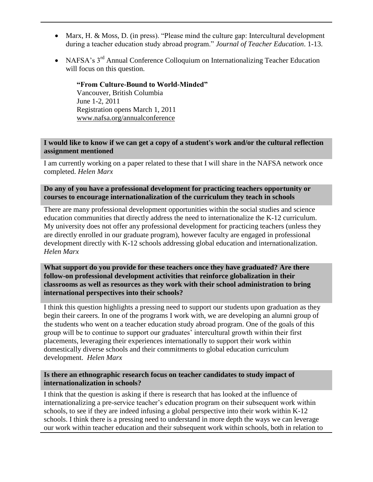- Marx, H. & Moss, D. (in press). "Please mind the culture gap: Intercultural development during a teacher education study abroad program." *Journal of Teacher Education*. 1-13.
- NAFSA's 3<sup>rd</sup> Annual Conference Colloquium on Internationalizing Teacher Education will focus on this question.

**"From Culture-Bound to World-Minded"** Vancouver, British Columbia June 1-2, 2011 Registration opens March 1, 2011 [www.nafsa.org/annualconference](http://www.nafsa.org/annualconference)

## **I would like to know if we can get a copy of a student's work and/or the cultural reflection assignment mentioned**

I am currently working on a paper related to these that I will share in the NAFSA network once completed. *Helen Marx*

# **Do any of you have a professional development for practicing teachers opportunity or courses to encourage internationalization of the curriculum they teach in schools**

There are many professional development opportunities within the social studies and science education communities that directly address the need to internationalize the K-12 curriculum. My university does not offer any professional development for practicing teachers (unless they are directly enrolled in our graduate program), however faculty are engaged in professional development directly with K-12 schools addressing global education and internationalization. *Helen Marx*

## **What support do you provide for these teachers once they have graduated? Are there follow-on professional development activities that reinforce globalization in their classrooms as well as resources as they work with their school administration to bring international perspectives into their schools?**

I think this question highlights a pressing need to support our students upon graduation as they begin their careers. In one of the programs I work with, we are developing an alumni group of the students who went on a teacher education study abroad program. One of the goals of this group will be to continue to support our graduates' intercultural growth within their first placements, leveraging their experiences internationally to support their work within domestically diverse schools and their commitments to global education curriculum development. *Helen Marx*

#### **Is there an ethnographic research focus on teacher candidates to study impact of internationalization in schools?**

I think that the question is asking if there is research that has looked at the influence of internationalizing a pre-service teacher's education program on their subsequent work within schools, to see if they are indeed infusing a global perspective into their work within K-12 schools. I think there is a pressing need to understand in more depth the ways we can leverage our work within teacher education and their subsequent work within schools, both in relation to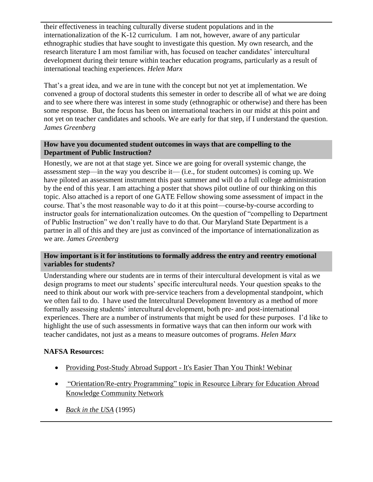their effectiveness in teaching culturally diverse student populations and in the internationalization of the K-12 curriculum. I am not, however, aware of any particular ethnographic studies that have sought to investigate this question. My own research, and the research literature I am most familiar with, has focused on teacher candidates' intercultural development during their tenure within teacher education programs, particularly as a result of international teaching experiences. *Helen Marx*

That's a great idea, and we are in tune with the concept but not yet at implementation. We convened a group of doctoral students this semester in order to describe all of what we are doing and to see where there was interest in some study (ethnographic or otherwise) and there has been some response. But, the focus has been on international teachers in our midst at this point and not yet on teacher candidates and schools. We are early for that step, if I understand the question. *James Greenberg*

# **How have you documented student outcomes in ways that are compelling to the Department of Public Instruction?**

Honestly, we are not at that stage yet. Since we are going for overall systemic change, the assessment step—in the way you describe it— (i.e., for student outcomes) is coming up. We have piloted an assessment instrument this past summer and will do a full college administration by the end of this year. I am attaching a poster that shows pilot outline of our thinking on this topic. Also attached is a report of one GATE Fellow showing some assessment of impact in the course. That's the most reasonable way to do it at this point—course-by-course according to instructor goals for internationalization outcomes. On the question of "compelling to Department of Public Instruction" we don't really have to do that. Our Maryland State Department is a partner in all of this and they are just as convinced of the importance of internationalization as we are. *James Greenberg*

# **How important is it for institutions to formally address the entry and reentry emotional variables for students?**

Understanding where our students are in terms of their intercultural development is vital as we design programs to meet our students' specific intercultural needs. Your question speaks to the need to think about our work with pre-service teachers from a developmental standpoint, which we often fail to do. I have used the Intercultural Development Inventory as a method of more formally assessing students' intercultural development, both pre- and post-international experiences. There are a number of instruments that might be used for these purposes. I'd like to highlight the use of such assessments in formative ways that can then inform our work with teacher candidates, not just as a means to measure outcomes of programs. *Helen Marx*

# **NAFSA Resources:**

- [Providing Post-Study Abroad Support -](http://www.nafsa.org/events.sec/webinars/previous_webinars/providing_post_study) It's Easier Than You Think! Webinar
- ["Orientation/Re-entry Programming" topic in Resource Library for Education Abroad](http://www.nafsa.org/resourcelibrary/default.aspx?catId=429111)  [Knowledge Community Network](http://www.nafsa.org/resourcelibrary/default.aspx?catId=429111)
- *[Back in the USA](http://www.nafsa.org/interactive/core/orders/product.aspx?catid=2&prodid=20)* (1995)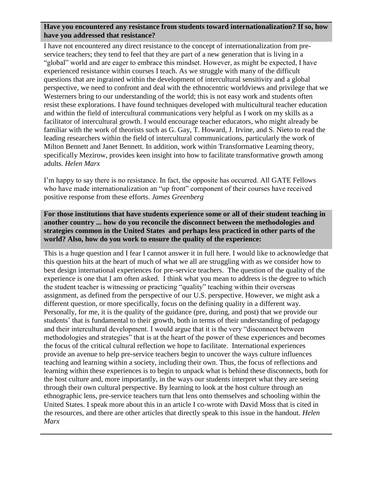# **Have you encountered any resistance from students toward internationalization? If so, how have you addressed that resistance?**

I have not encountered any direct resistance to the concept of internationalization from preservice teachers; they tend to feel that they are part of a new generation that is living in a "global" world and are eager to embrace this mindset. However, as might be expected, I have experienced resistance within courses I teach. As we struggle with many of the difficult questions that are ingrained within the development of intercultural sensitivity and a global perspective, we need to confront and deal with the ethnocentric worldviews and privilege that we Westerners bring to our understanding of the world; this is not easy work and students often resist these explorations. I have found techniques developed with multicultural teacher education and within the field of intercultural communications very helpful as I work on my skills as a facilitator of intercultural growth. I would encourage teacher educators, who might already be familiar with the work of theorists such as G. Gay, T. Howard, J. Irvine, and S. Nieto to read the leading researchers within the field of intercultural communications, particularly the work of Milton Bennett and Janet Bennett. In addition, work within Transformative Learning theory, specifically Mezirow, provides keen insight into how to facilitate transformative growth among adults. *Helen Marx*

I'm happy to say there is no resistance. In fact, the opposite has occurred. All GATE Fellows who have made internationalization an "up front" component of their courses have received positive response from these efforts. *James Greenberg*

**For those institutions that have students experience some or all of their student teaching in another country ... how do you reconcile the disconnect between the methodologies and strategies common in the United States and perhaps less practiced in other parts of the world? Also, how do you work to ensure the quality of the experience:**

This is a huge question and I fear I cannot answer it in full here. I would like to acknowledge that this question hits at the heart of much of what we all are struggling with as we consider how to best design international experiences for pre-service teachers. The question of the quality of the experience is one that I am often asked. I think what you mean to address is the degree to which the student teacher is witnessing or practicing "quality" teaching within their overseas assignment, as defined from the perspective of our U.S. perspective. However, we might ask a different question, or more specifically, focus on the defining quality in a different way. Personally, for me, it is the quality of the guidance (pre, during, and post) that we provide our students' that is fundamental to their growth, both in terms of their understanding of pedagogy and their intercultural development. I would argue that it is the very "disconnect between methodologies and strategies" that is at the heart of the power of these experiences and becomes the focus of the critical cultural reflection we hope to facilitate. International experiences provide an avenue to help pre-service teachers begin to uncover the ways culture influences teaching and learning within a society, including their own. Thus, the focus of reflections and learning within these experiences is to begin to unpack what is behind these disconnects, both for the host culture and, more importantly, in the ways our students interpret what they are seeing through their own cultural perspective. By learning to look at the host culture through an ethnographic lens, pre-service teachers turn that lens onto themselves and schooling within the United States. I speak more about this in an article I co-wrote with David Moss that is cited in the resources, and there are other articles that directly speak to this issue in the handout. *Helen Marx*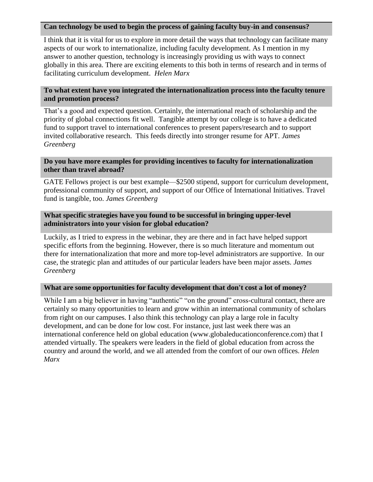## **Can technology be used to begin the process of gaining faculty buy-in and consensus?**

I think that it is vital for us to explore in more detail the ways that technology can facilitate many aspects of our work to internationalize, including faculty development. As I mention in my answer to another question, technology is increasingly providing us with ways to connect globally in this area. There are exciting elements to this both in terms of research and in terms of facilitating curriculum development. *Helen Marx*

# **To what extent have you integrated the internationalization process into the faculty tenure and promotion process?**

That's a good and expected question. Certainly, the international reach of scholarship and the priority of global connections fit well. Tangible attempt by our college is to have a dedicated fund to support travel to international conferences to present papers/research and to support invited collaborative research. This feeds directly into stronger resume for APT. *James Greenberg*

## **Do you have more examples for providing incentives to faculty for internationalization other than travel abroad?**

GATE Fellows project is our best example—\$2500 stipend, support for curriculum development, professional community of support, and support of our Office of International Initiatives. Travel fund is tangible, too. *James Greenberg*

#### **What specific strategies have you found to be successful in bringing upper-level administrators into your vision for global education?**

Luckily, as I tried to express in the webinar, they are there and in fact have helped support specific efforts from the beginning. However, there is so much literature and momentum out there for internationalization that more and more top-level administrators are supportive. In our case, the strategic plan and attitudes of our particular leaders have been major assets. *James Greenberg*

#### **What are some opportunities for faculty development that don't cost a lot of money?**

While I am a big believer in having "authentic" "on the ground" cross-cultural contact, there are certainly so many opportunities to learn and grow within an international community of scholars from right on our campuses. I also think this technology can play a large role in faculty development, and can be done for low cost. For instance, just last week there was an international conference held on global education (www.globaleducationconference.com) that I attended virtually. The speakers were leaders in the field of global education from across the country and around the world, and we all attended from the comfort of our own offices. *Helen Marx*